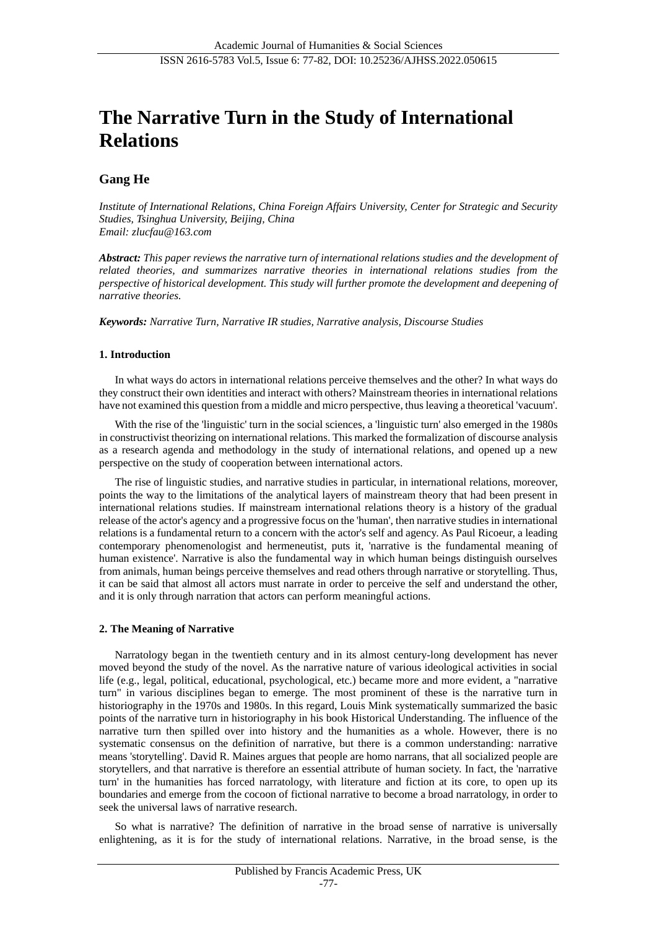# **The Narrative Turn in the Study of International Relations**

## **Gang He**

*Institute of International Relations, China Foreign Affairs University, Center for Strategic and Security Studies, Tsinghua University, Beijing, China Email: zlucfau@163.com*

*Abstract: This paper reviews the narrative turn of international relations studies and the development of related theories, and summarizes narrative theories in international relations studies from the perspective of historical development. This study will further promote the development and deepening of narrative theories.*

*Keywords: Narrative Turn, Narrative IR studies, Narrative analysis, Discourse Studies*

#### **1. Introduction**

In what ways do actors in international relations perceive themselves and the other? In what ways do they construct their own identities and interact with others? Mainstream theories in international relations have not examined this question from a middle and micro perspective, thus leaving a theoretical 'vacuum'.

With the rise of the 'linguistic' turn in the social sciences, a 'linguistic turn' also emerged in the 1980s in constructivist theorizing on international relations. This marked the formalization of discourse analysis as a research agenda and methodology in the study of international relations, and opened up a new perspective on the study of cooperation between international actors.

The rise of linguistic studies, and narrative studies in particular, in international relations, moreover, points the way to the limitations of the analytical layers of mainstream theory that had been present in international relations studies. If mainstream international relations theory is a history of the gradual release of the actor's agency and a progressive focus on the 'human', then narrative studies in international relations is a fundamental return to a concern with the actor's self and agency. As Paul Ricoeur, a leading contemporary phenomenologist and hermeneutist, puts it, 'narrative is the fundamental meaning of human existence'. Narrative is also the fundamental way in which human beings distinguish ourselves from animals, human beings perceive themselves and read others through narrative or storytelling. Thus, it can be said that almost all actors must narrate in order to perceive the self and understand the other, and it is only through narration that actors can perform meaningful actions.

#### **2. The Meaning of Narrative**

Narratology began in the twentieth century and in its almost century-long development has never moved beyond the study of the novel. As the narrative nature of various ideological activities in social life (e.g., legal, political, educational, psychological, etc.) became more and more evident, a "narrative turn" in various disciplines began to emerge. The most prominent of these is the narrative turn in historiography in the 1970s and 1980s. In this regard, Louis Mink systematically summarized the basic points of the narrative turn in historiography in his book Historical Understanding. The influence of the narrative turn then spilled over into history and the humanities as a whole. However, there is no systematic consensus on the definition of narrative, but there is a common understanding: narrative means 'storytelling'. David R. Maines argues that people are homo narrans, that all socialized people are storytellers, and that narrative is therefore an essential attribute of human society. In fact, the 'narrative turn' in the humanities has forced narratology, with literature and fiction at its core, to open up its boundaries and emerge from the cocoon of fictional narrative to become a broad narratology, in order to seek the universal laws of narrative research.

So what is narrative? The definition of narrative in the broad sense of narrative is universally enlightening, as it is for the study of international relations. Narrative, in the broad sense, is the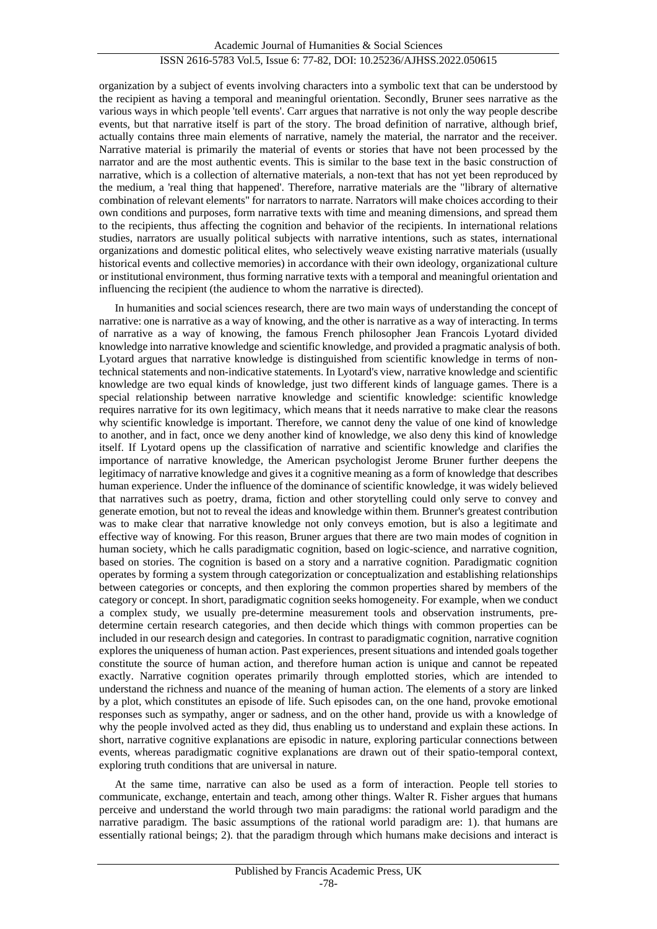organization by a subject of events involving characters into a symbolic text that can be understood by the recipient as having a temporal and meaningful orientation. Secondly, Bruner sees narrative as the various ways in which people 'tell events'. Carr argues that narrative is not only the way people describe events, but that narrative itself is part of the story. The broad definition of narrative, although brief, actually contains three main elements of narrative, namely the material, the narrator and the receiver. Narrative material is primarily the material of events or stories that have not been processed by the narrator and are the most authentic events. This is similar to the base text in the basic construction of narrative, which is a collection of alternative materials, a non-text that has not yet been reproduced by the medium, a 'real thing that happened'. Therefore, narrative materials are the "library of alternative combination of relevant elements" for narrators to narrate. Narrators will make choices according to their own conditions and purposes, form narrative texts with time and meaning dimensions, and spread them to the recipients, thus affecting the cognition and behavior of the recipients. In international relations studies, narrators are usually political subjects with narrative intentions, such as states, international organizations and domestic political elites, who selectively weave existing narrative materials (usually historical events and collective memories) in accordance with their own ideology, organizational culture or institutional environment, thus forming narrative texts with a temporal and meaningful orientation and influencing the recipient (the audience to whom the narrative is directed).

In humanities and social sciences research, there are two main ways of understanding the concept of narrative: one is narrative as a way of knowing, and the other is narrative as a way of interacting. In terms of narrative as a way of knowing, the famous French philosopher Jean Francois Lyotard divided knowledge into narrative knowledge and scientific knowledge, and provided a pragmatic analysis of both. Lyotard argues that narrative knowledge is distinguished from scientific knowledge in terms of nontechnical statements and non-indicative statements. In Lyotard's view, narrative knowledge and scientific knowledge are two equal kinds of knowledge, just two different kinds of language games. There is a special relationship between narrative knowledge and scientific knowledge: scientific knowledge requires narrative for its own legitimacy, which means that it needs narrative to make clear the reasons why scientific knowledge is important. Therefore, we cannot deny the value of one kind of knowledge to another, and in fact, once we deny another kind of knowledge, we also deny this kind of knowledge itself. If Lyotard opens up the classification of narrative and scientific knowledge and clarifies the importance of narrative knowledge, the American psychologist Jerome Bruner further deepens the legitimacy of narrative knowledge and gives it a cognitive meaning as a form of knowledge that describes human experience. Under the influence of the dominance of scientific knowledge, it was widely believed that narratives such as poetry, drama, fiction and other storytelling could only serve to convey and generate emotion, but not to reveal the ideas and knowledge within them. Brunner's greatest contribution was to make clear that narrative knowledge not only conveys emotion, but is also a legitimate and effective way of knowing. For this reason, Bruner argues that there are two main modes of cognition in human society, which he calls paradigmatic cognition, based on logic-science, and narrative cognition, based on stories. The cognition is based on a story and a narrative cognition. Paradigmatic cognition operates by forming a system through categorization or conceptualization and establishing relationships between categories or concepts, and then exploring the common properties shared by members of the category or concept. In short, paradigmatic cognition seeks homogeneity. For example, when we conduct a complex study, we usually pre-determine measurement tools and observation instruments, predetermine certain research categories, and then decide which things with common properties can be included in our research design and categories. In contrast to paradigmatic cognition, narrative cognition explores the uniqueness of human action. Past experiences, present situations and intended goals together constitute the source of human action, and therefore human action is unique and cannot be repeated exactly. Narrative cognition operates primarily through emplotted stories, which are intended to understand the richness and nuance of the meaning of human action. The elements of a story are linked by a plot, which constitutes an episode of life. Such episodes can, on the one hand, provoke emotional responses such as sympathy, anger or sadness, and on the other hand, provide us with a knowledge of why the people involved acted as they did, thus enabling us to understand and explain these actions. In short, narrative cognitive explanations are episodic in nature, exploring particular connections between events, whereas paradigmatic cognitive explanations are drawn out of their spatio-temporal context, exploring truth conditions that are universal in nature.

At the same time, narrative can also be used as a form of interaction. People tell stories to communicate, exchange, entertain and teach, among other things. Walter R. Fisher argues that humans perceive and understand the world through two main paradigms: the rational world paradigm and the narrative paradigm. The basic assumptions of the rational world paradigm are: 1). that humans are essentially rational beings; 2). that the paradigm through which humans make decisions and interact is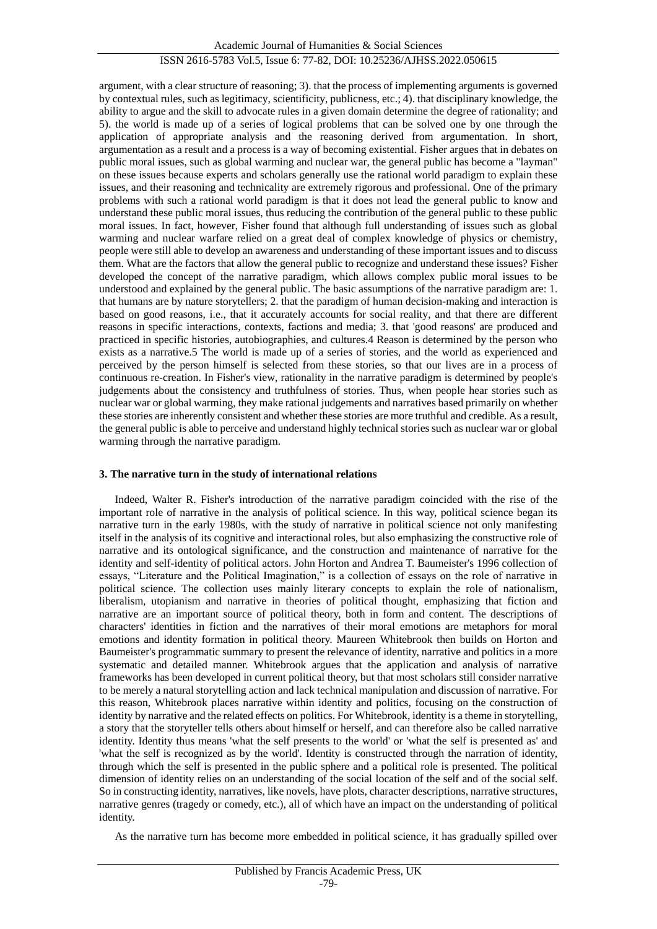argument, with a clear structure of reasoning; 3). that the process of implementing arguments is governed by contextual rules, such as legitimacy, scientificity, publicness, etc.; 4). that disciplinary knowledge, the ability to argue and the skill to advocate rules in a given domain determine the degree of rationality; and 5). the world is made up of a series of logical problems that can be solved one by one through the application of appropriate analysis and the reasoning derived from argumentation. In short, argumentation as a result and a process is a way of becoming existential. Fisher argues that in debates on public moral issues, such as global warming and nuclear war, the general public has become a "layman" on these issues because experts and scholars generally use the rational world paradigm to explain these issues, and their reasoning and technicality are extremely rigorous and professional. One of the primary problems with such a rational world paradigm is that it does not lead the general public to know and understand these public moral issues, thus reducing the contribution of the general public to these public moral issues. In fact, however, Fisher found that although full understanding of issues such as global warming and nuclear warfare relied on a great deal of complex knowledge of physics or chemistry, people were still able to develop an awareness and understanding of these important issues and to discuss them. What are the factors that allow the general public to recognize and understand these issues? Fisher developed the concept of the narrative paradigm, which allows complex public moral issues to be understood and explained by the general public. The basic assumptions of the narrative paradigm are: 1. that humans are by nature storytellers; 2. that the paradigm of human decision-making and interaction is based on good reasons, i.e., that it accurately accounts for social reality, and that there are different reasons in specific interactions, contexts, factions and media; 3. that 'good reasons' are produced and practiced in specific histories, autobiographies, and cultures.4 Reason is determined by the person who exists as a narrative.5 The world is made up of a series of stories, and the world as experienced and perceived by the person himself is selected from these stories, so that our lives are in a process of continuous re-creation. In Fisher's view, rationality in the narrative paradigm is determined by people's judgements about the consistency and truthfulness of stories. Thus, when people hear stories such as nuclear war or global warming, they make rational judgements and narratives based primarily on whether these stories are inherently consistent and whether these stories are more truthful and credible. As a result, the general public is able to perceive and understand highly technical stories such as nuclear war or global warming through the narrative paradigm.

#### **3. The narrative turn in the study of international relations**

Indeed, Walter R. Fisher's introduction of the narrative paradigm coincided with the rise of the important role of narrative in the analysis of political science. In this way, political science began its narrative turn in the early 1980s, with the study of narrative in political science not only manifesting itself in the analysis of its cognitive and interactional roles, but also emphasizing the constructive role of narrative and its ontological significance, and the construction and maintenance of narrative for the identity and self-identity of political actors. John Horton and Andrea T. Baumeister's 1996 collection of essays, "Literature and the Political Imagination," is a collection of essays on the role of narrative in political science. The collection uses mainly literary concepts to explain the role of nationalism, liberalism, utopianism and narrative in theories of political thought, emphasizing that fiction and narrative are an important source of political theory, both in form and content. The descriptions of characters' identities in fiction and the narratives of their moral emotions are metaphors for moral emotions and identity formation in political theory. Maureen Whitebrook then builds on Horton and Baumeister's programmatic summary to present the relevance of identity, narrative and politics in a more systematic and detailed manner. Whitebrook argues that the application and analysis of narrative frameworks has been developed in current political theory, but that most scholars still consider narrative to be merely a natural storytelling action and lack technical manipulation and discussion of narrative. For this reason, Whitebrook places narrative within identity and politics, focusing on the construction of identity by narrative and the related effects on politics. For Whitebrook, identity is a theme in storytelling, a story that the storyteller tells others about himself or herself, and can therefore also be called narrative identity. Identity thus means 'what the self presents to the world' or 'what the self is presented as' and 'what the self is recognized as by the world'. Identity is constructed through the narration of identity, through which the self is presented in the public sphere and a political role is presented. The political dimension of identity relies on an understanding of the social location of the self and of the social self. So in constructing identity, narratives, like novels, have plots, character descriptions, narrative structures, narrative genres (tragedy or comedy, etc.), all of which have an impact on the understanding of political identity.

As the narrative turn has become more embedded in political science, it has gradually spilled over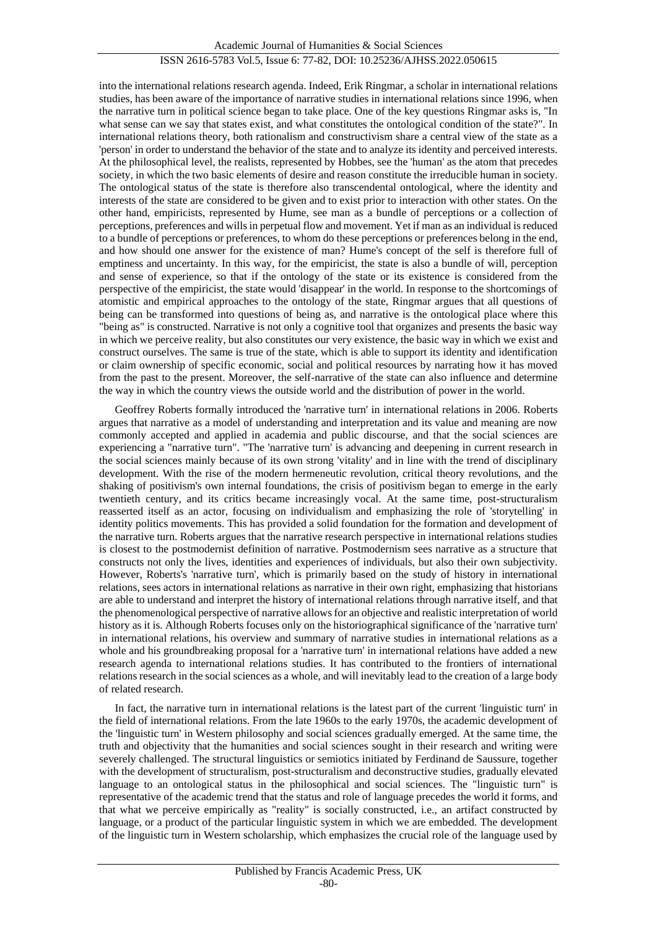into the international relations research agenda. Indeed, Erik Ringmar, a scholar in international relations studies, has been aware of the importance of narrative studies in international relations since 1996, when the narrative turn in political science began to take place. One of the key questions Ringmar asks is, "In what sense can we say that states exist, and what constitutes the ontological condition of the state?". In international relations theory, both rationalism and constructivism share a central view of the state as a 'person' in order to understand the behavior of the state and to analyze its identity and perceived interests. At the philosophical level, the realists, represented by Hobbes, see the 'human' as the atom that precedes society, in which the two basic elements of desire and reason constitute the irreducible human in society. The ontological status of the state is therefore also transcendental ontological, where the identity and interests of the state are considered to be given and to exist prior to interaction with other states. On the other hand, empiricists, represented by Hume, see man as a bundle of perceptions or a collection of perceptions, preferences and wills in perpetual flow and movement. Yet if man as an individual is reduced to a bundle of perceptions or preferences, to whom do these perceptions or preferences belong in the end, and how should one answer for the existence of man? Hume's concept of the self is therefore full of emptiness and uncertainty. In this way, for the empiricist, the state is also a bundle of will, perception and sense of experience, so that if the ontology of the state or its existence is considered from the perspective of the empiricist, the state would 'disappear' in the world. In response to the shortcomings of atomistic and empirical approaches to the ontology of the state, Ringmar argues that all questions of being can be transformed into questions of being as, and narrative is the ontological place where this "being as" is constructed. Narrative is not only a cognitive tool that organizes and presents the basic way in which we perceive reality, but also constitutes our very existence, the basic way in which we exist and construct ourselves. The same is true of the state, which is able to support its identity and identification or claim ownership of specific economic, social and political resources by narrating how it has moved from the past to the present. Moreover, the self-narrative of the state can also influence and determine the way in which the country views the outside world and the distribution of power in the world.

Geoffrey Roberts formally introduced the 'narrative turn' in international relations in 2006. Roberts argues that narrative as a model of understanding and interpretation and its value and meaning are now commonly accepted and applied in academia and public discourse, and that the social sciences are experiencing a "narrative turn". "The 'narrative turn' is advancing and deepening in current research in the social sciences mainly because of its own strong 'vitality' and in line with the trend of disciplinary development. With the rise of the modern hermeneutic revolution, critical theory revolutions, and the shaking of positivism's own internal foundations, the crisis of positivism began to emerge in the early twentieth century, and its critics became increasingly vocal. At the same time, post-structuralism reasserted itself as an actor, focusing on individualism and emphasizing the role of 'storytelling' in identity politics movements. This has provided a solid foundation for the formation and development of the narrative turn. Roberts argues that the narrative research perspective in international relations studies is closest to the postmodernist definition of narrative. Postmodernism sees narrative as a structure that constructs not only the lives, identities and experiences of individuals, but also their own subjectivity. However, Roberts's 'narrative turn', which is primarily based on the study of history in international relations, sees actors in international relations as narrative in their own right, emphasizing that historians are able to understand and interpret the history of international relations through narrative itself, and that the phenomenological perspective of narrative allows for an objective and realistic interpretation of world history as it is. Although Roberts focuses only on the historiographical significance of the 'narrative turn' in international relations, his overview and summary of narrative studies in international relations as a whole and his groundbreaking proposal for a 'narrative turn' in international relations have added a new research agenda to international relations studies. It has contributed to the frontiers of international relations research in the social sciences as a whole, and will inevitably lead to the creation of a large body of related research.

In fact, the narrative turn in international relations is the latest part of the current 'linguistic turn' in the field of international relations. From the late 1960s to the early 1970s, the academic development of the 'linguistic turn' in Western philosophy and social sciences gradually emerged. At the same time, the truth and objectivity that the humanities and social sciences sought in their research and writing were severely challenged. The structural linguistics or semiotics initiated by Ferdinand de Saussure, together with the development of structuralism, post-structuralism and deconstructive studies, gradually elevated language to an ontological status in the philosophical and social sciences. The "linguistic turn" is representative of the academic trend that the status and role of language precedes the world it forms, and that what we perceive empirically as "reality" is socially constructed, i.e., an artifact constructed by language, or a product of the particular linguistic system in which we are embedded. The development of the linguistic turn in Western scholarship, which emphasizes the crucial role of the language used by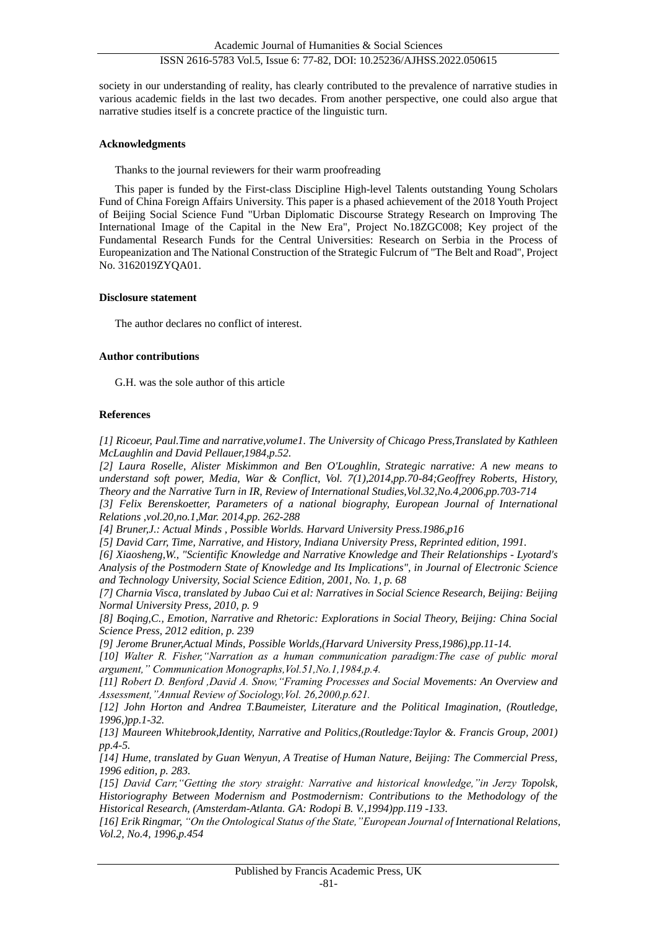society in our understanding of reality, has clearly contributed to the prevalence of narrative studies in various academic fields in the last two decades. From another perspective, one could also argue that narrative studies itself is a concrete practice of the linguistic turn.

#### **Acknowledgments**

Thanks to the journal reviewers for their warm proofreading

This paper is funded by the First-class Discipline High-level Talents outstanding Young Scholars Fund of China Foreign Affairs University. This paper is a phased achievement of the 2018 Youth Project of Beijing Social Science Fund "Urban Diplomatic Discourse Strategy Research on Improving The International Image of the Capital in the New Era", Project No.18ZGC008; Key project of the Fundamental Research Funds for the Central Universities: Research on Serbia in the Process of Europeanization and The National Construction of the Strategic Fulcrum of "The Belt and Road", Project No. 3162019ZYQA01.

#### **Disclosure statement**

The author declares no conflict of interest.

## **Author contributions**

G.H. was the sole author of this article

## **References**

*[1] Ricoeur, Paul.Time and narrative,volume1. The University of Chicago Press,Translated by Kathleen McLaughlin and David Pellauer,1984,p.52.*

*[2] Laura Roselle, Alister Miskimmon and Ben O'Loughlin, Strategic narrative: A new means to understand soft power, Media, War & Conflict, Vol. 7(1),2014,pp.70-84;Geoffrey Roberts, History, Theory and the Narrative Turn in IR, Review of International Studies,Vol.32,No.4,2006,pp.703-714*

*[3] Felix Berenskoetter, Parameters of a national biography, European Journal of International Relations ,vol.20,no.1,Mar. 2014,pp. 262-288*

*[4] Bruner,J.: Actual Minds , Possible Worlds. Harvard University Press.1986,p16*

*[5] David Carr, Time, Narrative, and History, Indiana University Press, Reprinted edition, 1991.*

*[6] Xiaosheng,W., "Scientific Knowledge and Narrative Knowledge and Their Relationships - Lyotard's Analysis of the Postmodern State of Knowledge and Its Implications", in Journal of Electronic Science and Technology University, Social Science Edition, 2001, No. 1, p. 68*

*[7] Charnia Visca, translated by Jubao Cui et al: Narratives in Social Science Research, Beijing: Beijing Normal University Press, 2010, p. 9*

*[8] Boqing,C., Emotion, Narrative and Rhetoric: Explorations in Social Theory, Beijing: China Social Science Press, 2012 edition, p. 239*

*[9] Jerome Bruner,Actual Minds, Possible Worlds,(Harvard University Press,1986),pp.11-14.*

*[10] Walter R. Fisher,"Narration as a human communication paradigm:The case of public moral argument," Communication Monographs,Vol.51,No.1,1984,p.4.*

*[11] Robert D. Benford ,David A. Snow,"Framing Processes and Social Movements: An Overview and Assessment,"Annual Review of Sociology,Vol. 26,2000,p.621.*

*[12] John Horton and Andrea T.Baumeister, Literature and the Political Imagination, (Routledge, 1996,)pp.1-32.*

*[13] Maureen Whitebrook,Identity, Narrative and Politics,(Routledge:Taylor &. Francis Group, 2001) pp.4-5.*

*[14] Hume, translated by Guan Wenyun, A Treatise of Human Nature, Beijing: The Commercial Press, 1996 edition, p. 283.*

*[15] David Carr,"Getting the story straight: Narrative and historical knowledge,"in Jerzy Topolsk, Historiography Between Modernism and Postmodernism: Contributions to the Methodology of the Historical Research, (Amsterdam-Atlanta. GA: Rodopi B. V.,1994)pp.119 -133.*

*[16] Erik Ringmar, "On the Ontological Status of the State,"European Journal of International Relations, Vol.2, No.4, 1996,p.454*